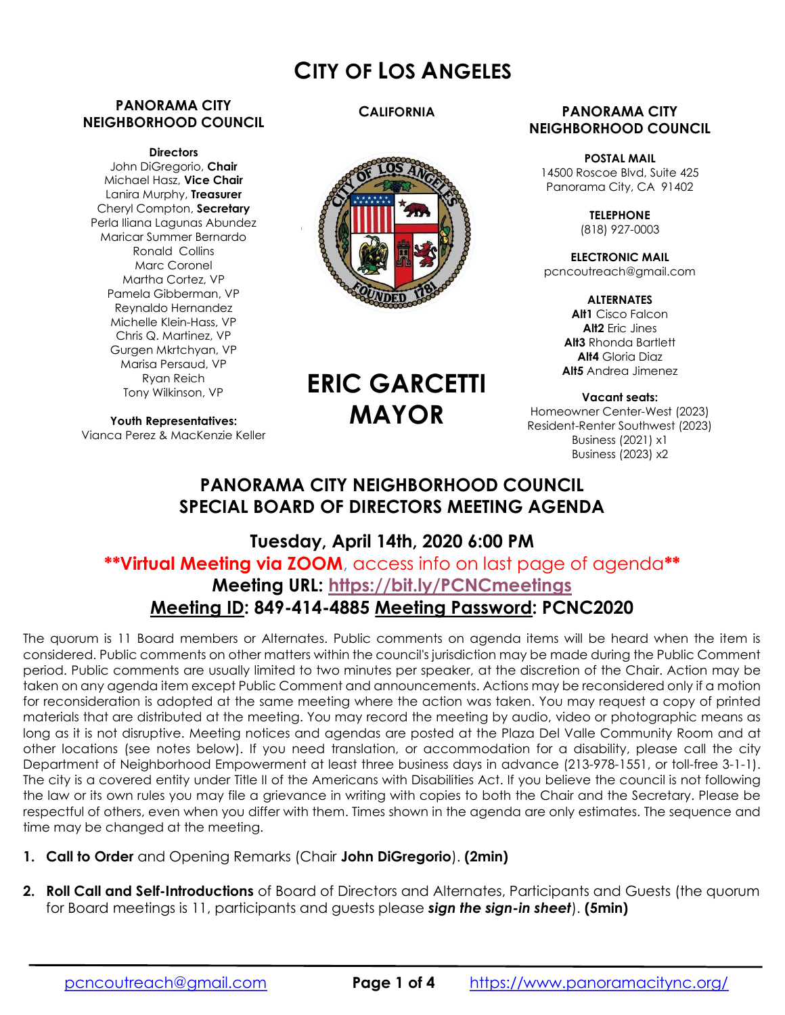# CITY OF LOS ANGELES

### PANORAMA CITY NEIGHBORHOOD COUNCIL

#### **Directors**

John DiGregorio, Chair Michael Hasz, Vice Chair Lanira Murphy, Treasurer Cheryl Compton, Secretary Perla Iliana Lagunas Abundez Maricar Summer Bernardo Ronald Collins Marc Coronel Martha Cortez, VP Pamela Gibberman, VP Reynaldo Hernandez Michelle Klein-Hass, VP Chris Q. Martinez, VP Gurgen Mkrtchyan, VP Marisa Persaud, VP Ryan Reich Tony Wilkinson, VP

Youth Representatives: Vianca Perez & MacKenzie Keller **CALIFORNIA** 



#### PANORAMA CITY NEIGHBORHOOD COUNCIL

POSTAL MAIL 14500 Roscoe Blvd, Suite 425 Panorama City, CA 91402

> **TELEPHONE** (818) 927-0003

ELECTRONIC MAIL pcncoutreach@gmail.com

> **ALTERNATES** Alt1 Cisco Falcon Alt2 Eric Jines Alt<sub>3</sub> Rhonda Bartlett Alt4 Gloria Diaz Alt5 Andrea Jimenez

Vacant seats: Homeowner Center-West (2023) Resident-Renter Southwest (2023) Business (2021) x1 Business (2023) x2

# ERIC GARCETTI MAYOR

# PANORAMA CITY NEIGHBORHOOD COUNCIL SPECIAL BOARD OF DIRECTORS MEETING AGENDA

# Tuesday, April 14th, 2020 6:00 PM \*\*Virtual Meeting via ZOOM, access info on last page of agenda\*\* Meeting URL: https://bit.ly/PCNCmeetings Meeting ID: 849-414-4885 Meeting Password: PCNC2020

The quorum is 11 Board members or Alternates. Public comments on agenda items will be heard when the item is considered. Public comments on other matters within the council's jurisdiction may be made during the Public Comment period. Public comments are usually limited to two minutes per speaker, at the discretion of the Chair. Action may be taken on any agenda item except Public Comment and announcements. Actions may be reconsidered only if a motion for reconsideration is adopted at the same meeting where the action was taken. You may request a copy of printed materials that are distributed at the meeting. You may record the meeting by audio, video or photographic means as long as it is not disruptive. Meeting notices and agendas are posted at the Plaza Del Valle Community Room and at other locations (see notes below). If you need translation, or accommodation for a disability, please call the city Department of Neighborhood Empowerment at least three business days in advance (213-978-1551, or toll-free 3-1-1). The city is a covered entity under Title II of the Americans with Disabilities Act. If you believe the council is not following the law or its own rules you may file a grievance in writing with copies to both the Chair and the Secretary. Please be respectful of others, even when you differ with them. Times shown in the agenda are only estimates. The sequence and time may be changed at the meeting.

- 1. Call to Order and Opening Remarks (Chair John DiGregorio). (2min)
- 2. Roll Call and Self-Introductions of Board of Directors and Alternates, Participants and Guests (the quorum for Board meetings is 11, participants and guests please sign the sign-in sheet). (5min)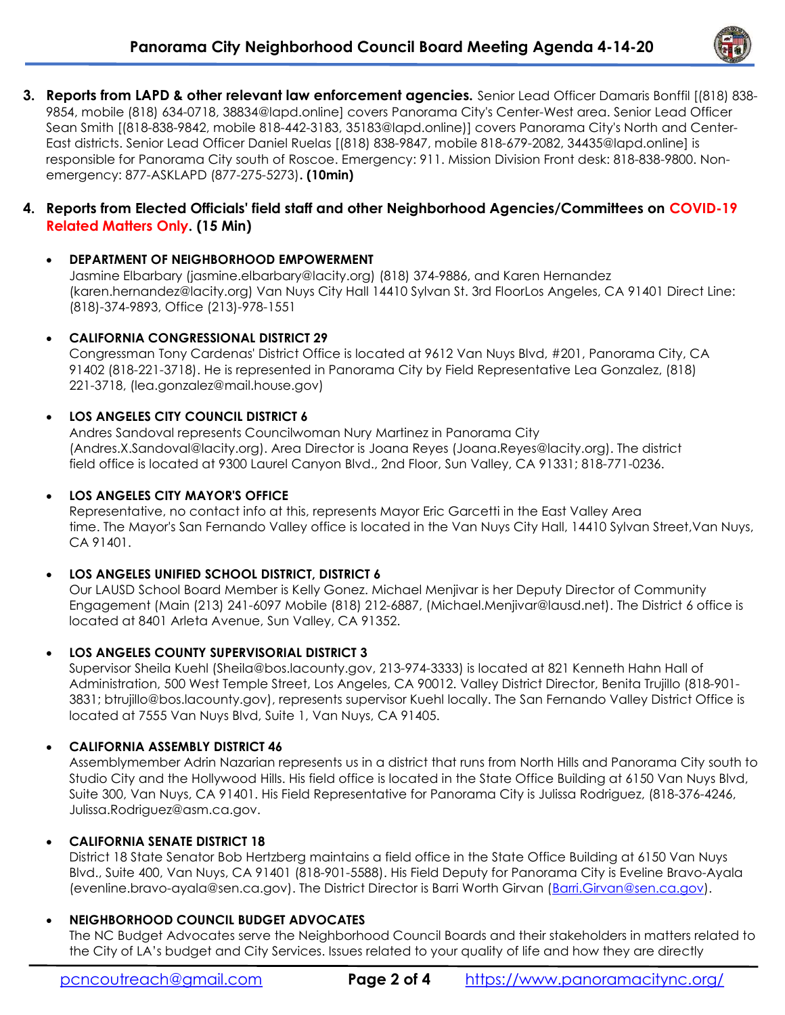

3. Reports from LAPD & other relevant law enforcement agencies. Senior Lead Officer Damaris Bonffil [(818) 838-9854, mobile (818) 634-0718, 38834@lapd.online] covers Panorama City's Center-West area. Senior Lead Officer Sean Smith [(818-838-9842, mobile 818-442-3183, 35183@lapd.online)] covers Panorama City's North and Center-East districts. Senior Lead Officer Daniel Ruelas [(818) 838-9847, mobile 818-679-2082, 34435@lapd.online] is responsible for Panorama City south of Roscoe. Emergency: 911. Mission Division Front desk: 818-838-9800. Nonemergency: 877-ASKLAPD (877-275-5273). (10min)

## 4. Reports from Elected Officials' field staff and other Neighborhood Agencies/Committees on COVID-19 Related Matters Only. (15 Min)

## DEPARTMENT OF NEIGHBORHOOD EMPOWERMENT

Jasmine Elbarbary (jasmine.elbarbary@lacity.org) (818) 374-9886, and Karen Hernandez (karen.hernandez@lacity.org) Van Nuys City Hall 14410 Sylvan St. 3rd FloorLos Angeles, CA 91401 Direct Line: (818)-374-9893, Office (213)-978-1551

### CALIFORNIA CONGRESSIONAL DISTRICT 29

Congressman Tony Cardenas' District Office is located at 9612 Van Nuys Blvd, #201, Panorama City, CA 91402 (818-221-3718). He is represented in Panorama City by Field Representative Lea Gonzalez, (818) 221-3718, (lea.gonzalez@mail.house.gov)

### LOS ANGELES CITY COUNCIL DISTRICT 6

Andres Sandoval represents Councilwoman Nury Martinez in Panorama City (Andres.X.Sandoval@lacity.org). Area Director is Joana Reyes (Joana.Reyes@lacity.org). The district field office is located at 9300 Laurel Canyon Blvd., 2nd Floor, Sun Valley, CA 91331; 818-771-0236.

### LOS ANGELES CITY MAYOR'S OFFICE

Representative, no contact info at this, represents Mayor Eric Garcetti in the East Valley Area time. The Mayor's San Fernando Valley office is located in the Van Nuys City Hall, 14410 Sylvan Street,Van Nuys, CA 91401.

# LOS ANGELES UNIFIED SCHOOL DISTRICT, DISTRICT 6

Our LAUSD School Board Member is Kelly Gonez. Michael Menjivar is her Deputy Director of Community Engagement (Main (213) 241-6097 Mobile (818) 212-6887, (Michael.Menjivar@lausd.net). The District 6 office is located at 8401 Arleta Avenue, Sun Valley, CA 91352.

# LOS ANGELES COUNTY SUPERVISORIAL DISTRICT 3

Supervisor Sheila Kuehl (Sheila@bos.lacounty.gov, 213-974-3333) is located at 821 Kenneth Hahn Hall of Administration, 500 West Temple Street, Los Angeles, CA 90012. Valley District Director, Benita Trujillo (818-901- 3831; btrujillo@bos.lacounty.gov), represents supervisor Kuehl locally. The San Fernando Valley District Office is located at 7555 Van Nuys Blvd, Suite 1, Van Nuys, CA 91405.

# CALIFORNIA ASSEMBLY DISTRICT 46

Assemblymember Adrin Nazarian represents us in a district that runs from North Hills and Panorama City south to Studio City and the Hollywood Hills. His field office is located in the State Office Building at 6150 Van Nuys Blvd, Suite 300, Van Nuys, CA 91401. His Field Representative for Panorama City is Julissa Rodriguez, (818-376-4246, Julissa.Rodriguez@asm.ca.gov.

#### CALIFORNIA SENATE DISTRICT 18

District 18 State Senator Bob Hertzberg maintains a field office in the State Office Building at 6150 Van Nuys Blvd., Suite 400, Van Nuys, CA 91401 (818-901-5588). His Field Deputy for Panorama City is Eveline Bravo-Ayala (evenline.bravo-ayala@sen.ca.gov). The District Director is Barri Worth Girvan (Barri.Girvan@sen.ca.gov).

# NEIGHBORHOOD COUNCIL BUDGET ADVOCATES

The NC Budget Advocates serve the Neighborhood Council Boards and their stakeholders in matters related to the City of LA's budget and City Services. Issues related to your quality of life and how they are directly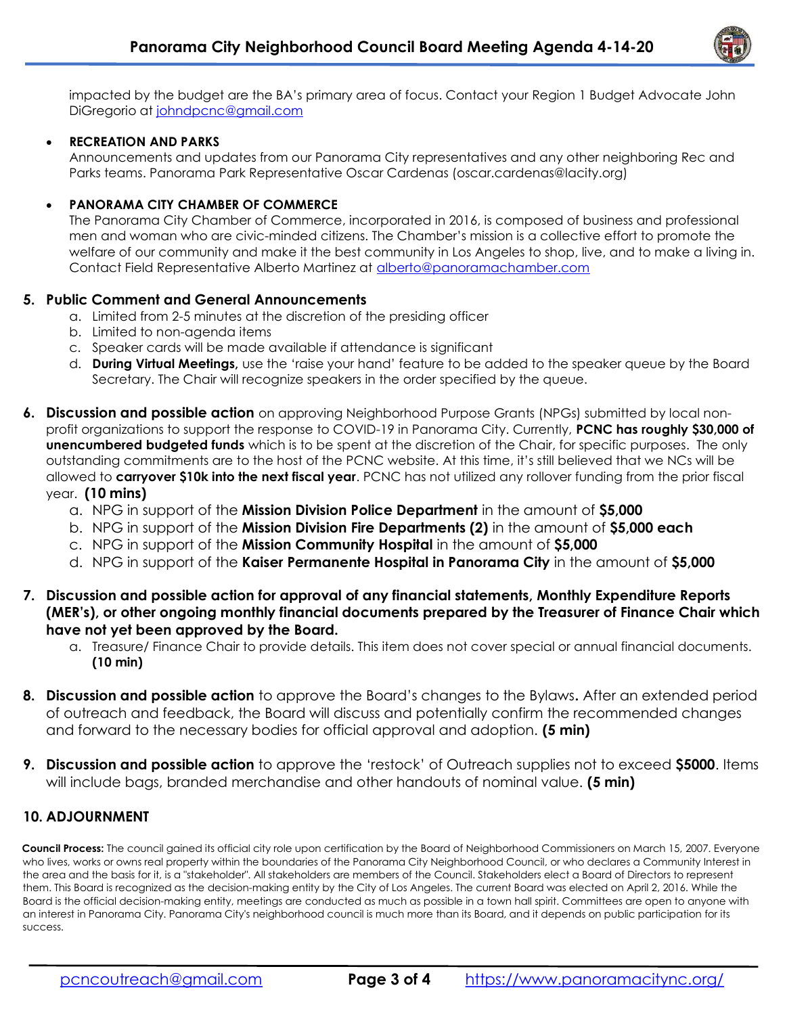

impacted by the budget are the BA's primary area of focus. Contact your Region 1 Budget Advocate John DiGregorio at johndpcnc@gmail.com

#### RECREATION AND PARKS

Announcements and updates from our Panorama City representatives and any other neighboring Rec and Parks teams. Panorama Park Representative Oscar Cardenas (oscar.cardenas@lacity.org)

#### PANORAMA CITY CHAMBER OF COMMERCE

The Panorama City Chamber of Commerce, incorporated in 2016, is composed of business and professional men and woman who are civic-minded citizens. The Chamber's mission is a collective effort to promote the welfare of our community and make it the best community in Los Angeles to shop, live, and to make a living in. Contact Field Representative Alberto Martinez at alberto@panoramachamber.com

#### 5. Public Comment and General Announcements

- a. Limited from 2-5 minutes at the discretion of the presiding officer
- b. Limited to non-agenda items
- c. Speaker cards will be made available if attendance is significant
- d. During Virtual Meetings, use the 'raise your hand' feature to be added to the speaker queue by the Board Secretary. The Chair will recognize speakers in the order specified by the queue.
- 6. Discussion and possible action on approving Neighborhood Purpose Grants (NPGs) submitted by local nonprofit organizations to support the response to COVID-19 in Panorama City. Currently, PCNC has roughly \$30,000 of unencumbered budgeted funds which is to be spent at the discretion of the Chair, for specific purposes. The only outstanding commitments are to the host of the PCNC website. At this time, it's still believed that we NCs will be allowed to **carryover \$10k into the next fiscal year**. PCNC has not utilized any rollover funding from the prior fiscal year. (10 mins)
	- a. NPG in support of the Mission Division Police Department in the amount of \$5,000
	- b. NPG in support of the **Mission Division Fire Departments (2)** in the amount of \$5,000 each
	- c. NPG in support of the Mission Community Hospital in the amount of \$5,000
	- d. NPG in support of the Kaiser Permanente Hospital in Panorama City in the amount of \$5,000
- 7. Discussion and possible action for approval of any financial statements, Monthly Expenditure Reports (MER's), or other ongoing monthly financial documents prepared by the Treasurer of Finance Chair which have not yet been approved by the Board.
	- a. Treasure/ Finance Chair to provide details. This item does not cover special or annual financial documents. (10 min)
- 8. Discussion and possible action to approve the Board's changes to the Bylaws. After an extended period of outreach and feedback, the Board will discuss and potentially confirm the recommended changes and forward to the necessary bodies for official approval and adoption. (5 min)
- **9. Discussion and possible action** to approve the 'restock' of Outreach supplies not to exceed \$5000. Items will include bags, branded merchandise and other handouts of nominal value. (5 min)

#### 10. ADJOURNMENT

Council Process: The council gained its official city role upon certification by the Board of Neighborhood Commissioners on March 15, 2007. Everyone who lives, works or owns real property within the boundaries of the Panorama City Neighborhood Council, or who declares a Community Interest in the area and the basis for it, is a "stakeholder". All stakeholders are members of the Council. Stakeholders elect a Board of Directors to represent them. This Board is recognized as the decision-making entity by the City of Los Angeles. The current Board was elected on April 2, 2016. While the Board is the official decision-making entity, meetings are conducted as much as possible in a town hall spirit. Committees are open to anyone with an interest in Panorama City. Panorama City's neighborhood council is much more than its Board, and it depends on public participation for its success.